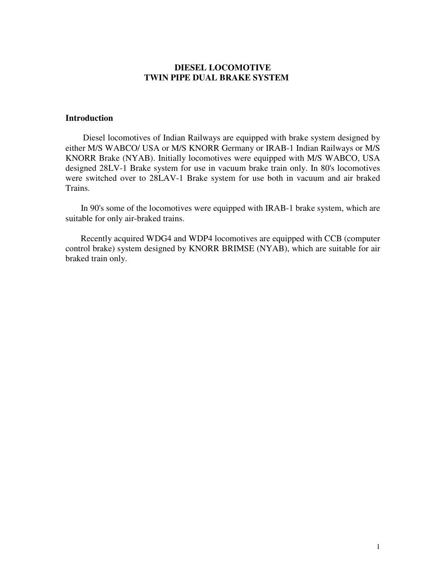## **DIESEL LOCOMOTIVE TWIN PIPE DUAL BRAKE SYSTEM**

### **Introduction**

 Diesel locomotives of Indian Railways are equipped with brake system designed by either M/S WABCO/ USA or M/S KNORR Germany or IRAB-1 Indian Railways or M/S KNORR Brake (NYAB). Initially locomotives were equipped with M/S WABCO, USA designed 28LV-1 Brake system for use in vacuum brake train only. In 80's locomotives were switched over to 28LAV-1 Brake system for use both in vacuum and air braked Trains.

 In 90's some of the locomotives were equipped with IRAB-1 brake system, which are suitable for only air-braked trains.

 Recently acquired WDG4 and WDP4 locomotives are equipped with CCB (computer control brake) system designed by KNORR BRIMSE (NYAB), which are suitable for air braked train only.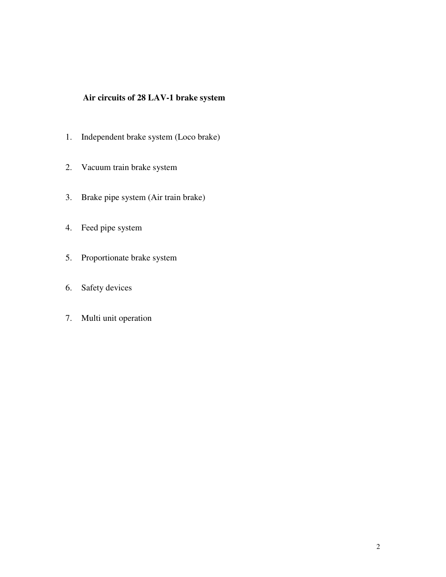## **Air circuits of 28 LAV-1 brake system**

- 1. Independent brake system (Loco brake)
- 2. Vacuum train brake system
- 3. Brake pipe system (Air train brake)
- 4. Feed pipe system
- 5. Proportionate brake system
- 6. Safety devices
- 7. Multi unit operation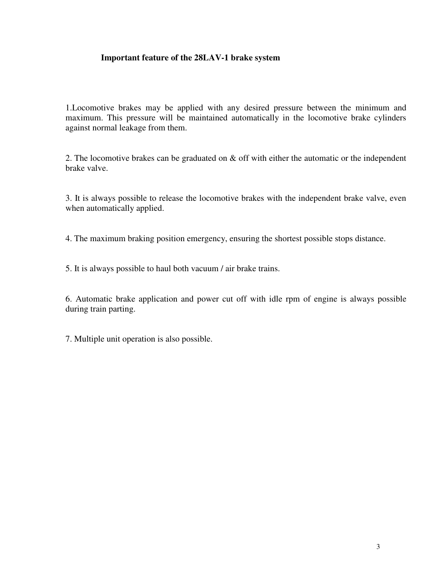## **Important feature of the 28LAV-1 brake system**

1.Locomotive brakes may be applied with any desired pressure between the minimum and maximum. This pressure will be maintained automatically in the locomotive brake cylinders against normal leakage from them.

2. The locomotive brakes can be graduated on & off with either the automatic or the independent brake valve.

3. It is always possible to release the locomotive brakes with the independent brake valve, even when automatically applied.

4. The maximum braking position emergency, ensuring the shortest possible stops distance.

5. It is always possible to haul both vacuum / air brake trains.

6. Automatic brake application and power cut off with idle rpm of engine is always possible during train parting.

7. Multiple unit operation is also possible.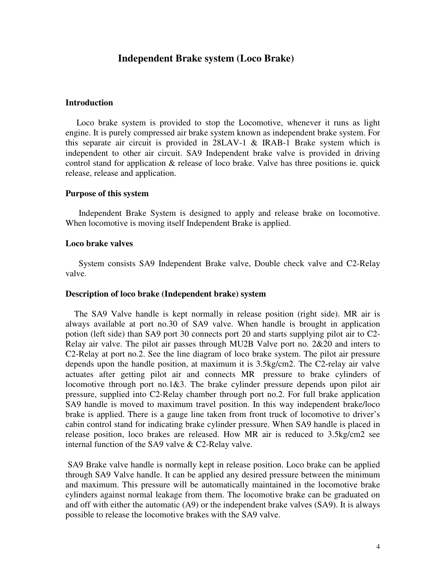## **Independent Brake system (Loco Brake)**

#### **Introduction**

 Loco brake system is provided to stop the Locomotive, whenever it runs as light engine. It is purely compressed air brake system known as independent brake system. For this separate air circuit is provided in 28LAV-1 & IRAB-1 Brake system which is independent to other air circuit. SA9 Independent brake valve is provided in driving control stand for application & release of loco brake. Valve has three positions ie. quick release, release and application.

#### **Purpose of this system**

 Independent Brake System is designed to apply and release brake on locomotive. When locomotive is moving itself Independent Brake is applied.

#### **Loco brake valves**

 System consists SA9 Independent Brake valve, Double check valve and C2-Relay valve.

#### **Description of loco brake (Independent brake) system**

 The SA9 Valve handle is kept normally in release position (right side). MR air is always available at port no.30 of SA9 valve. When handle is brought in application potion (left side) than SA9 port 30 connects port 20 and starts supplying pilot air to C2- Relay air valve. The pilot air passes through MU2B Valve port no. 2&20 and inters to C2-Relay at port no.2. See the line diagram of loco brake system. The pilot air pressure depends upon the handle position, at maximum it is 3.5kg/cm2. The C2-relay air valve actuates after getting pilot air and connects MR pressure to brake cylinders of locomotive through port no.1&3. The brake cylinder pressure depends upon pilot air pressure, supplied into C2-Relay chamber through port no.2. For full brake application SA9 handle is moved to maximum travel position. In this way independent brake/loco brake is applied. There is a gauge line taken from front truck of locomotive to driver's cabin control stand for indicating brake cylinder pressure. When SA9 handle is placed in release position, loco brakes are released. How MR air is reduced to 3.5kg/cm2 see internal function of the SA9 valve & C2-Relay valve.

 SA9 Brake valve handle is normally kept in release position. Loco brake can be applied through SA9 Valve handle. It can be applied any desired pressure between the minimum and maximum. This pressure will be automatically maintained in the locomotive brake cylinders against normal leakage from them. The locomotive brake can be graduated on and off with either the automatic (A9) or the independent brake valves (SA9). It is always possible to release the locomotive brakes with the SA9 valve.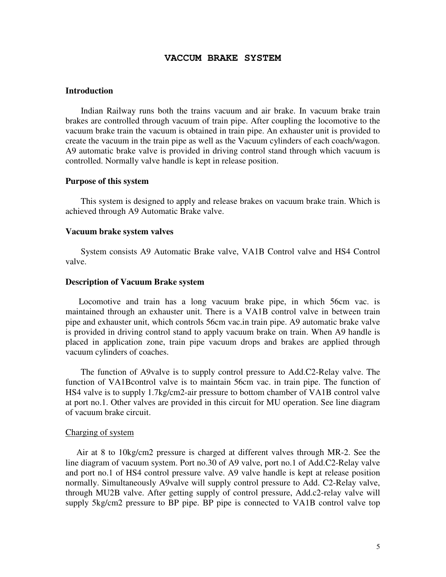#### **VACCUM BRAKE SYSTEM**

#### **Introduction**

 Indian Railway runs both the trains vacuum and air brake. In vacuum brake train brakes are controlled through vacuum of train pipe. After coupling the locomotive to the vacuum brake train the vacuum is obtained in train pipe. An exhauster unit is provided to create the vacuum in the train pipe as well as the Vacuum cylinders of each coach/wagon. A9 automatic brake valve is provided in driving control stand through which vacuum is controlled. Normally valve handle is kept in release position.

#### **Purpose of this system**

 This system is designed to apply and release brakes on vacuum brake train. Which is achieved through A9 Automatic Brake valve.

#### **Vacuum brake system valves**

 System consists A9 Automatic Brake valve, VA1B Control valve and HS4 Control valve.

#### **Description of Vacuum Brake system**

 Locomotive and train has a long vacuum brake pipe, in which 56cm vac. is maintained through an exhauster unit. There is a VA1B control valve in between train pipe and exhauster unit, which controls 56cm vac.in train pipe. A9 automatic brake valve is provided in driving control stand to apply vacuum brake on train. When A9 handle is placed in application zone, train pipe vacuum drops and brakes are applied through vacuum cylinders of coaches.

 The function of A9valve is to supply control pressure to Add.C2-Relay valve. The function of VA1Bcontrol valve is to maintain 56cm vac. in train pipe. The function of HS4 valve is to supply 1.7kg/cm2-air pressure to bottom chamber of VA1B control valve at port no.1. Other valves are provided in this circuit for MU operation. See line diagram of vacuum brake circuit.

#### Charging of system

 Air at 8 to 10kg/cm2 pressure is charged at different valves through MR-2. See the line diagram of vacuum system. Port no.30 of A9 valve, port no.1 of Add.C2-Relay valve and port no.1 of HS4 control pressure valve. A9 valve handle is kept at release position normally. Simultaneously A9valve will supply control pressure to Add. C2-Relay valve, through MU2B valve. After getting supply of control pressure, Add.c2-relay valve will supply 5kg/cm2 pressure to BP pipe. BP pipe is connected to VA1B control valve top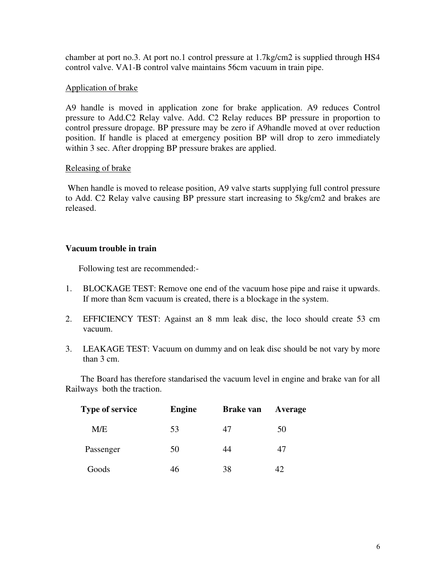chamber at port no.3. At port no.1 control pressure at 1.7kg/cm2 is supplied through HS4 control valve. VA1-B control valve maintains 56cm vacuum in train pipe.

## Application of brake

A9 handle is moved in application zone for brake application. A9 reduces Control pressure to Add.C2 Relay valve. Add. C2 Relay reduces BP pressure in proportion to control pressure dropage. BP pressure may be zero if A9handle moved at over reduction position. If handle is placed at emergency position BP will drop to zero immediately within 3 sec. After dropping BP pressure brakes are applied.

## Releasing of brake

When handle is moved to release position, A9 valve starts supplying full control pressure to Add. C2 Relay valve causing BP pressure start increasing to 5kg/cm2 and brakes are released.

## **Vacuum trouble in train**

Following test are recommended:-

- 1. BLOCKAGE TEST: Remove one end of the vacuum hose pipe and raise it upwards. If more than 8cm vacuum is created, there is a blockage in the system.
- 2. EFFICIENCY TEST: Against an 8 mm leak disc, the loco should create 53 cm vacuum.
- 3. LEAKAGE TEST: Vacuum on dummy and on leak disc should be not vary by more than 3 cm.

 The Board has therefore standarised the vacuum level in engine and brake van for all Railways both the traction.

| <b>Type of service</b> | <b>Engine</b> | <b>Brake van</b> | Average |
|------------------------|---------------|------------------|---------|
| M/E                    | 53            | 47               | 50      |
| Passenger              | 50            | 44               | 47      |
| Goods                  | 46            | 38               | 42      |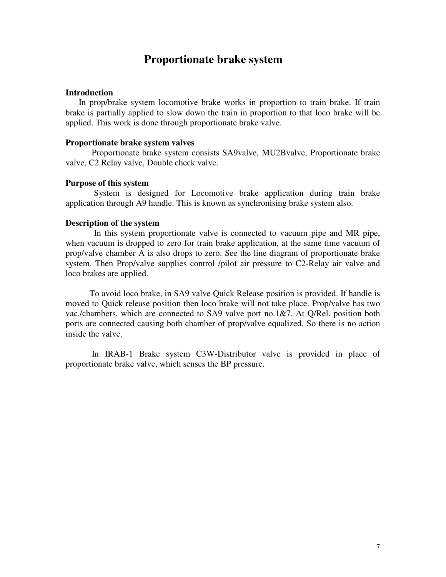# **Proportionate brake system**

#### **Introduction**

 In prop/brake system locomotive brake works in proportion to train brake. If train brake is partially applied to slow down the train in proportion to that loco brake will be applied. This work is done through proportionate brake valve.

#### **Proportionate brake system valves**

Proportionate brake system consists SA9valve, MU2Bvalve, Proportionate brake valve, C2 Relay valve, Double check valve.

#### **Purpose of this system**

 System is designed for Locomotive brake application during train brake application through A9 handle. This is known as synchronising brake system also.

#### **Description of the system**

 In this system proportionate valve is connected to vacuum pipe and MR pipe, when vacuum is dropped to zero for train brake application, at the same time vacuum of prop/valve chamber A is also drops to zero. See the line diagram of proportionate brake system. Then Prop/valve supplies control /pilot air pressure to C2-Relay air valve and loco brakes are applied.

 To avoid loco brake, in SA9 valve Quick Release position is provided. If handle is moved to Quick release position then loco brake will not take place. Prop/valve has two vac./chambers, which are connected to SA9 valve port no.1&7. At Q/Rel. position both ports are connected causing both chamber of prop/valve equalized. So there is no action inside the valve.

 In IRAB-1 Brake system C3W-Distributor valve is provided in place of proportionate brake valve, which senses the BP pressure.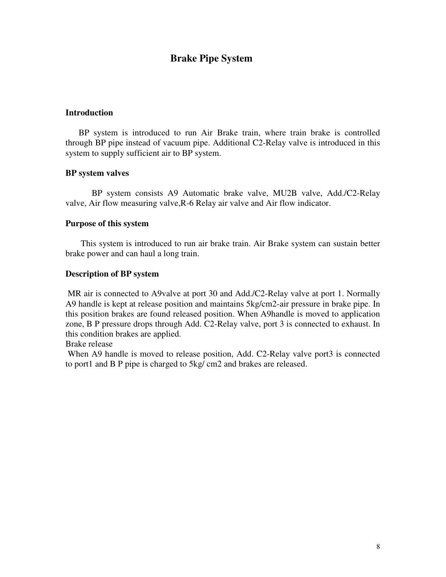## **Brake Pipe System**

## **Introduction**

 BP system is introduced to run Air Brake train, where train brake is controlled through BP pipe instead of vacuum pipe. Additional C2-Relay valve is introduced in this system to supply sufficient air to BP system.

#### **BP system valves**

 BP system consists A9 Automatic brake valve, MU2B valve, Add./C2-Relay valve, Air flow measuring valve,R-6 Relay air valve and Air flow indicator.

#### **Purpose of this system**

 This system is introduced to run air brake train. Air Brake system can sustain better brake power and can haul a long train.

#### **Description of BP system**

MR air is connected to A9valve at port 30 and Add./C2-Relay valve at port 1. Normally A9 handle is kept at release position and maintains 5kg/cm2-air pressure in brake pipe. In this position brakes are found released position. When A9handle is moved to application zone, B P pressure drops through Add. C2-Relay valve, port 3 is connected to exhaust. In this condition brakes are applied.

Brake release

When A9 handle is moved to release position, Add. C2-Relay valve port3 is connected to port1 and B P pipe is charged to 5kg/ cm2 and brakes are released.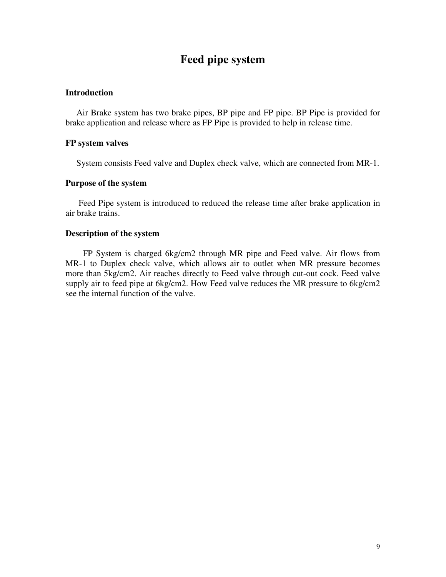# **Feed pipe system**

### **Introduction**

 Air Brake system has two brake pipes, BP pipe and FP pipe. BP Pipe is provided for brake application and release where as FP Pipe is provided to help in release time.

#### **FP system valves**

System consists Feed valve and Duplex check valve, which are connected from MR-1.

#### **Purpose of the system**

 Feed Pipe system is introduced to reduced the release time after brake application in air brake trains.

## **Description of the system**

 FP System is charged 6kg/cm2 through MR pipe and Feed valve. Air flows from MR-1 to Duplex check valve, which allows air to outlet when MR pressure becomes more than 5kg/cm2. Air reaches directly to Feed valve through cut-out cock. Feed valve supply air to feed pipe at 6kg/cm2. How Feed valve reduces the MR pressure to 6kg/cm2 see the internal function of the valve.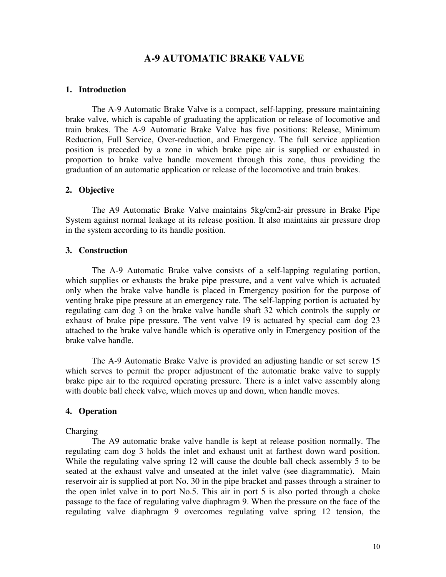## **A-9 AUTOMATIC BRAKE VALVE**

#### **1. Introduction**

 The A-9 Automatic Brake Valve is a compact, self-lapping, pressure maintaining brake valve, which is capable of graduating the application or release of locomotive and train brakes. The A-9 Automatic Brake Valve has five positions: Release, Minimum Reduction, Full Service, Over-reduction, and Emergency. The full service application position is preceded by a zone in which brake pipe air is supplied or exhausted in proportion to brake valve handle movement through this zone, thus providing the graduation of an automatic application or release of the locomotive and train brakes.

#### **2. Objective**

 The A9 Automatic Brake Valve maintains 5kg/cm2-air pressure in Brake Pipe System against normal leakage at its release position. It also maintains air pressure drop in the system according to its handle position.

#### **3. Construction**

 The A-9 Automatic Brake valve consists of a self-lapping regulating portion, which supplies or exhausts the brake pipe pressure, and a vent valve which is actuated only when the brake valve handle is placed in Emergency position for the purpose of venting brake pipe pressure at an emergency rate. The self-lapping portion is actuated by regulating cam dog 3 on the brake valve handle shaft 32 which controls the supply or exhaust of brake pipe pressure. The vent valve 19 is actuated by special cam dog 23 attached to the brake valve handle which is operative only in Emergency position of the brake valve handle.

 The A-9 Automatic Brake Valve is provided an adjusting handle or set screw 15 which serves to permit the proper adjustment of the automatic brake valve to supply brake pipe air to the required operating pressure. There is a inlet valve assembly along with double ball check valve, which moves up and down, when handle moves.

#### **4. Operation**

#### Charging

 The A9 automatic brake valve handle is kept at release position normally. The regulating cam dog 3 holds the inlet and exhaust unit at farthest down ward position. While the regulating valve spring 12 will cause the double ball check assembly 5 to be seated at the exhaust valve and unseated at the inlet valve (see diagrammatic). Main reservoir air is supplied at port No. 30 in the pipe bracket and passes through a strainer to the open inlet valve in to port No.5. This air in port 5 is also ported through a choke passage to the face of regulating valve diaphragm 9. When the pressure on the face of the regulating valve diaphragm 9 overcomes regulating valve spring 12 tension, the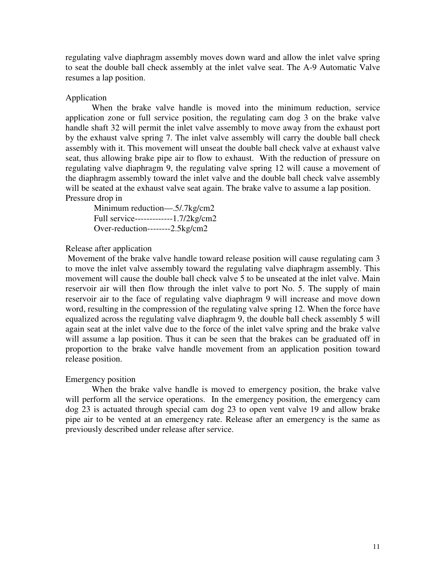regulating valve diaphragm assembly moves down ward and allow the inlet valve spring to seat the double ball check assembly at the inlet valve seat. The A-9 Automatic Valve resumes a lap position.

#### Application

 When the brake valve handle is moved into the minimum reduction, service application zone or full service position, the regulating cam dog 3 on the brake valve handle shaft 32 will permit the inlet valve assembly to move away from the exhaust port by the exhaust valve spring 7. The inlet valve assembly will carry the double ball check assembly with it. This movement will unseat the double ball check valve at exhaust valve seat, thus allowing brake pipe air to flow to exhaust. With the reduction of pressure on regulating valve diaphragm 9, the regulating valve spring 12 will cause a movement of the diaphragm assembly toward the inlet valve and the double ball check valve assembly will be seated at the exhaust valve seat again. The brake valve to assume a lap position. Pressure drop in

 Minimum reduction—.5/.7kg/cm2 Full service-------------1.7/2kg/cm2 Over-reduction--------2.5kg/cm2

#### Release after application

 Movement of the brake valve handle toward release position will cause regulating cam 3 to move the inlet valve assembly toward the regulating valve diaphragm assembly. This movement will cause the double ball check valve 5 to be unseated at the inlet valve. Main reservoir air will then flow through the inlet valve to port No. 5. The supply of main reservoir air to the face of regulating valve diaphragm 9 will increase and move down word, resulting in the compression of the regulating valve spring 12. When the force have equalized across the regulating valve diaphragm 9, the double ball check assembly 5 will again seat at the inlet valve due to the force of the inlet valve spring and the brake valve will assume a lap position. Thus it can be seen that the brakes can be graduated off in proportion to the brake valve handle movement from an application position toward release position.

#### Emergency position

 When the brake valve handle is moved to emergency position, the brake valve will perform all the service operations. In the emergency position, the emergency cam dog 23 is actuated through special cam dog 23 to open vent valve 19 and allow brake pipe air to be vented at an emergency rate. Release after an emergency is the same as previously described under release after service.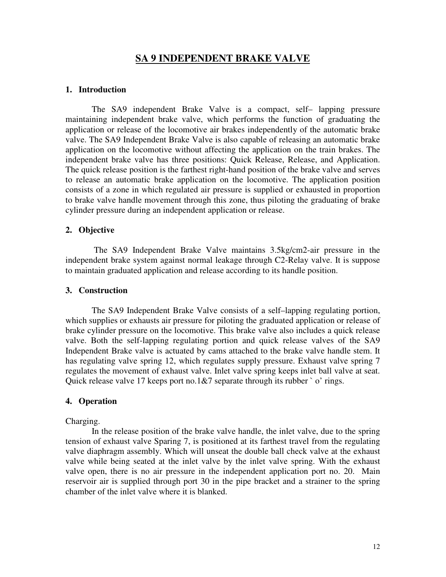## **SA 9 INDEPENDENT BRAKE VALVE**

#### **1. Introduction**

 The SA9 independent Brake Valve is a compact, self– lapping pressure maintaining independent brake valve, which performs the function of graduating the application or release of the locomotive air brakes independently of the automatic brake valve. The SA9 Independent Brake Valve is also capable of releasing an automatic brake application on the locomotive without affecting the application on the train brakes. The independent brake valve has three positions: Quick Release, Release, and Application. The quick release position is the farthest right-hand position of the brake valve and serves to release an automatic brake application on the locomotive. The application position consists of a zone in which regulated air pressure is supplied or exhausted in proportion to brake valve handle movement through this zone, thus piloting the graduating of brake cylinder pressure during an independent application or release.

#### **2. Objective**

 The SA9 Independent Brake Valve maintains 3.5kg/cm2-air pressure in the independent brake system against normal leakage through C2-Relay valve. It is suppose to maintain graduated application and release according to its handle position.

#### **3. Construction**

 The SA9 Independent Brake Valve consists of a self–lapping regulating portion, which supplies or exhausts air pressure for piloting the graduated application or release of brake cylinder pressure on the locomotive. This brake valve also includes a quick release valve. Both the self-lapping regulating portion and quick release valves of the SA9 Independent Brake valve is actuated by cams attached to the brake valve handle stem. It has regulating valve spring 12, which regulates supply pressure. Exhaust valve spring 7 regulates the movement of exhaust valve. Inlet valve spring keeps inlet ball valve at seat. Quick release valve 17 keeps port no.1&7 separate through its rubber  $\degree$  o' rings.

#### **4. Operation**

#### Charging.

 In the release position of the brake valve handle, the inlet valve, due to the spring tension of exhaust valve Sparing 7, is positioned at its farthest travel from the regulating valve diaphragm assembly. Which will unseat the double ball check valve at the exhaust valve while being seated at the inlet valve by the inlet valve spring. With the exhaust valve open, there is no air pressure in the independent application port no. 20. Main reservoir air is supplied through port 30 in the pipe bracket and a strainer to the spring chamber of the inlet valve where it is blanked.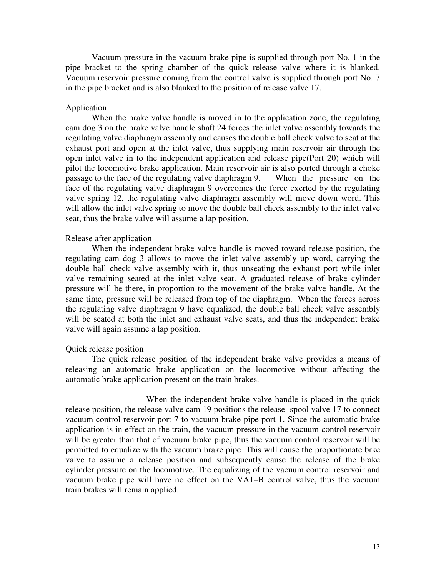Vacuum pressure in the vacuum brake pipe is supplied through port No. 1 in the pipe bracket to the spring chamber of the quick release valve where it is blanked. Vacuum reservoir pressure coming from the control valve is supplied through port No. 7 in the pipe bracket and is also blanked to the position of release valve 17.

#### Application

 When the brake valve handle is moved in to the application zone, the regulating cam dog 3 on the brake valve handle shaft 24 forces the inlet valve assembly towards the regulating valve diaphragm assembly and causes the double ball check valve to seat at the exhaust port and open at the inlet valve, thus supplying main reservoir air through the open inlet valve in to the independent application and release pipe(Port 20) which will pilot the locomotive brake application. Main reservoir air is also ported through a choke passage to the face of the regulating valve diaphragm 9. When the pressure on the face of the regulating valve diaphragm 9 overcomes the force exerted by the regulating valve spring 12, the regulating valve diaphragm assembly will move down word. This will allow the inlet valve spring to move the double ball check assembly to the inlet valve seat, thus the brake valve will assume a lap position.

#### Release after application

 When the independent brake valve handle is moved toward release position, the regulating cam dog 3 allows to move the inlet valve assembly up word, carrying the double ball check valve assembly with it, thus unseating the exhaust port while inlet valve remaining seated at the inlet valve seat. A graduated release of brake cylinder pressure will be there, in proportion to the movement of the brake valve handle. At the same time, pressure will be released from top of the diaphragm. When the forces across the regulating valve diaphragm 9 have equalized, the double ball check valve assembly will be seated at both the inlet and exhaust valve seats, and thus the independent brake valve will again assume a lap position.

#### Quick release position

 The quick release position of the independent brake valve provides a means of releasing an automatic brake application on the locomotive without affecting the automatic brake application present on the train brakes.

 When the independent brake valve handle is placed in the quick release position, the release valve cam 19 positions the release spool valve 17 to connect vacuum control reservoir port 7 to vacuum brake pipe port 1. Since the automatic brake application is in effect on the train, the vacuum pressure in the vacuum control reservoir will be greater than that of vacuum brake pipe, thus the vacuum control reservoir will be permitted to equalize with the vacuum brake pipe. This will cause the proportionate brke valve to assume a release position and subsequently cause the release of the brake cylinder pressure on the locomotive. The equalizing of the vacuum control reservoir and vacuum brake pipe will have no effect on the VA1–B control valve, thus the vacuum train brakes will remain applied.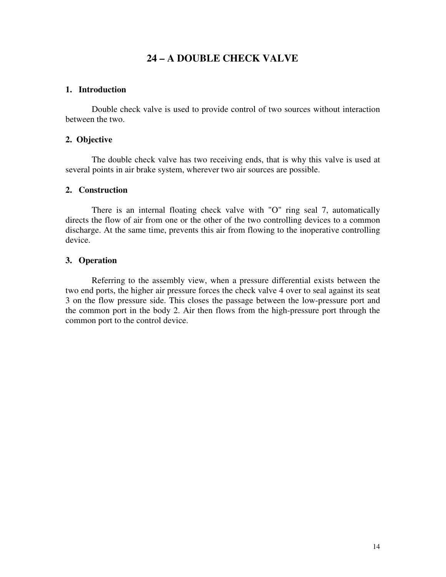## **24 – A DOUBLE CHECK VALVE**

### **1. Introduction**

 Double check valve is used to provide control of two sources without interaction between the two.

## **2. Objective**

 The double check valve has two receiving ends, that is why this valve is used at several points in air brake system, wherever two air sources are possible.

## **2. Construction**

 There is an internal floating check valve with "O" ring seal 7, automatically directs the flow of air from one or the other of the two controlling devices to a common discharge. At the same time, prevents this air from flowing to the inoperative controlling device.

## **3. Operation**

 Referring to the assembly view, when a pressure differential exists between the two end ports, the higher air pressure forces the check valve 4 over to seal against its seat 3 on the flow pressure side. This closes the passage between the low-pressure port and the common port in the body 2. Air then flows from the high-pressure port through the common port to the control device.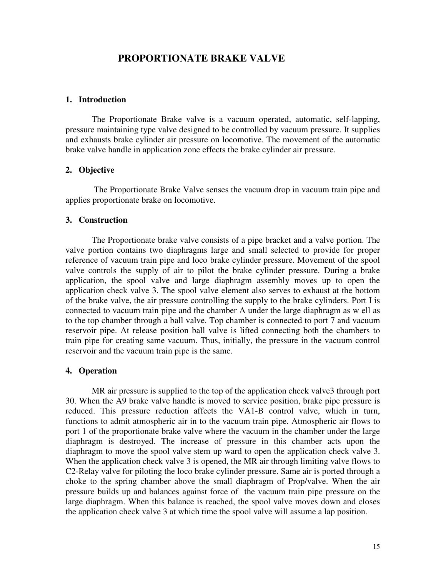## **PROPORTIONATE BRAKE VALVE**

### **1. Introduction**

 The Proportionate Brake valve is a vacuum operated, automatic, self-lapping, pressure maintaining type valve designed to be controlled by vacuum pressure. It supplies and exhausts brake cylinder air pressure on locomotive. The movement of the automatic brake valve handle in application zone effects the brake cylinder air pressure.

#### **2. Objective**

 The Proportionate Brake Valve senses the vacuum drop in vacuum train pipe and applies proportionate brake on locomotive.

#### **3. Construction**

 The Proportionate brake valve consists of a pipe bracket and a valve portion. The valve portion contains two diaphragms large and small selected to provide for proper reference of vacuum train pipe and loco brake cylinder pressure. Movement of the spool valve controls the supply of air to pilot the brake cylinder pressure. During a brake application, the spool valve and large diaphragm assembly moves up to open the application check valve 3. The spool valve element also serves to exhaust at the bottom of the brake valve, the air pressure controlling the supply to the brake cylinders. Port I is connected to vacuum train pipe and the chamber A under the large diaphragm as w ell as to the top chamber through a ball valve. Top chamber is connected to port 7 and vacuum reservoir pipe. At release position ball valve is lifted connecting both the chambers to train pipe for creating same vacuum. Thus, initially, the pressure in the vacuum control reservoir and the vacuum train pipe is the same.

#### **4. Operation**

MR air pressure is supplied to the top of the application check valve3 through port 30. When the A9 brake valve handle is moved to service position, brake pipe pressure is reduced. This pressure reduction affects the VA1-B control valve, which in turn, functions to admit atmospheric air in to the vacuum train pipe. Atmospheric air flows to port 1 of the proportionate brake valve where the vacuum in the chamber under the large diaphragm is destroyed. The increase of pressure in this chamber acts upon the diaphragm to move the spool valve stem up ward to open the application check valve 3. When the application check valve 3 is opened, the MR air through limiting valve flows to C2-Relay valve for piloting the loco brake cylinder pressure. Same air is ported through a choke to the spring chamber above the small diaphragm of Prop/valve. When the air pressure builds up and balances against force of the vacuum train pipe pressure on the large diaphragm. When this balance is reached, the spool valve moves down and closes the application check valve 3 at which time the spool valve will assume a lap position.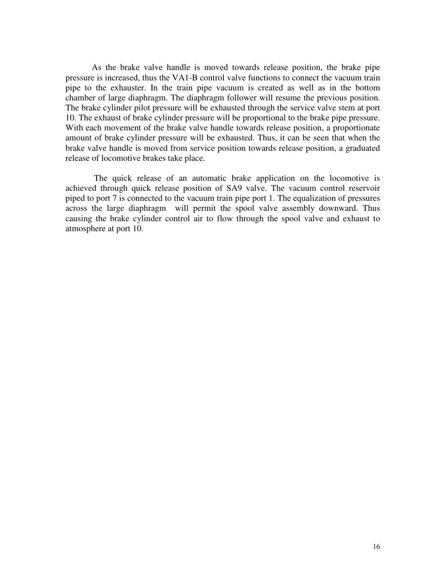As the brake valve handle is moved towards release position, the brake pipe pressure is increased, thus the VA1-B control valve functions to connect the vacuum train pipe to the exhauster. In the train pipe vacuum is created as well as in the bottom chamber of large diaphragm. The diaphragm follower will resume the previous position. The brake cylinder pilot pressure will be exhausted through the service valve stem at port 10. The exhaust of brake cylinder pressure will be proportional to the brake pipe pressure. With each movement of the brake valve handle towards release position, a proportionate amount of brake cylinder pressure will be exhausted. Thus, it can be seen that when the brake valve handle is moved from service position towards release position, a graduated release of locomotive brakes take place.

 The quick release of an automatic brake application on the locomotive is achieved through quick release position of SA9 valve. The vacuum control reservoir piped to port 7 is connected to the vacuum train pipe port 1. The equalization of pressures across the large diaphragm will permit the spool valve assembly downward. Thus causing the brake cylinder control air to flow through the spool valve and exhaust to atmosphere at port 10.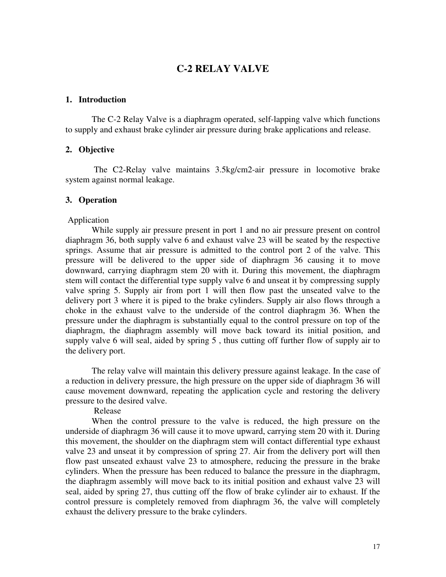## **C-2 RELAY VALVE**

#### **1. Introduction**

 The C-2 Relay Valve is a diaphragm operated, self-lapping valve which functions to supply and exhaust brake cylinder air pressure during brake applications and release.

## **2. Objective**

 The C2-Relay valve maintains 3.5kg/cm2-air pressure in locomotive brake system against normal leakage.

### **3. Operation**

#### Application

 While supply air pressure present in port 1 and no air pressure present on control diaphragm 36, both supply valve 6 and exhaust valve 23 will be seated by the respective springs. Assume that air pressure is admitted to the control port 2 of the valve. This pressure will be delivered to the upper side of diaphragm 36 causing it to move downward, carrying diaphragm stem 20 with it. During this movement, the diaphragm stem will contact the differential type supply valve 6 and unseat it by compressing supply valve spring 5. Supply air from port 1 will then flow past the unseated valve to the delivery port 3 where it is piped to the brake cylinders. Supply air also flows through a choke in the exhaust valve to the underside of the control diaphragm 36. When the pressure under the diaphragm is substantially equal to the control pressure on top of the diaphragm, the diaphragm assembly will move back toward its initial position, and supply valve 6 will seal, aided by spring 5 , thus cutting off further flow of supply air to the delivery port.

 The relay valve will maintain this delivery pressure against leakage. In the case of a reduction in delivery pressure, the high pressure on the upper side of diaphragm 36 will cause movement downward, repeating the application cycle and restoring the delivery pressure to the desired valve.

Release

 When the control pressure to the valve is reduced, the high pressure on the underside of diaphragm 36 will cause it to move upward, carrying stem 20 with it. During this movement, the shoulder on the diaphragm stem will contact differential type exhaust valve 23 and unseat it by compression of spring 27. Air from the delivery port will then flow past unseated exhaust valve 23 to atmosphere, reducing the pressure in the brake cylinders. When the pressure has been reduced to balance the pressure in the diaphragm, the diaphragm assembly will move back to its initial position and exhaust valve 23 will seal, aided by spring 27, thus cutting off the flow of brake cylinder air to exhaust. If the control pressure is completely removed from diaphragm 36, the valve will completely exhaust the delivery pressure to the brake cylinders.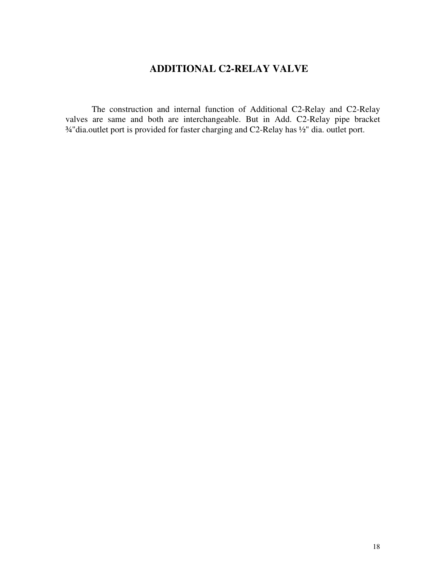# **ADDITIONAL C2-RELAY VALVE**

 The construction and internal function of Additional C2-Relay and C2-Relay valves are same and both are interchangeable. But in Add. C2-Relay pipe bracket ¾"dia.outlet port is provided for faster charging and C2-Relay has ½" dia. outlet port.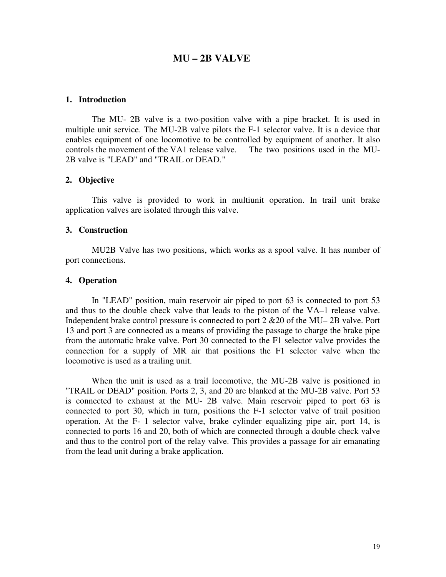## **MU – 2B VALVE**

#### **1. Introduction**

 The MU- 2B valve is a two-position valve with a pipe bracket. It is used in multiple unit service. The MU-2B valve pilots the F-1 selector valve. It is a device that enables equipment of one locomotive to be controlled by equipment of another. It also controls the movement of the VA1 release valve. The two positions used in the MU-2B valve is "LEAD" and "TRAIL or DEAD."

#### **2. Objective**

 This valve is provided to work in multiunit operation. In trail unit brake application valves are isolated through this valve.

#### **3. Construction**

 MU2B Valve has two positions, which works as a spool valve. It has number of port connections.

#### **4. Operation**

 In "LEAD" position, main reservoir air piped to port 63 is connected to port 53 and thus to the double check valve that leads to the piston of the VA–1 release valve. Independent brake control pressure is connected to port 2 &20 of the MU– 2B valve. Port 13 and port 3 are connected as a means of providing the passage to charge the brake pipe from the automatic brake valve. Port 30 connected to the F1 selector valve provides the connection for a supply of MR air that positions the F1 selector valve when the locomotive is used as a trailing unit.

 When the unit is used as a trail locomotive, the MU-2B valve is positioned in "TRAIL or DEAD" position. Ports 2, 3, and 20 are blanked at the MU-2B valve. Port 53 is connected to exhaust at the MU- 2B valve. Main reservoir piped to port 63 is connected to port 30, which in turn, positions the F-1 selector valve of trail position operation. At the F- 1 selector valve, brake cylinder equalizing pipe air, port 14, is connected to ports 16 and 20, both of which are connected through a double check valve and thus to the control port of the relay valve. This provides a passage for air emanating from the lead unit during a brake application.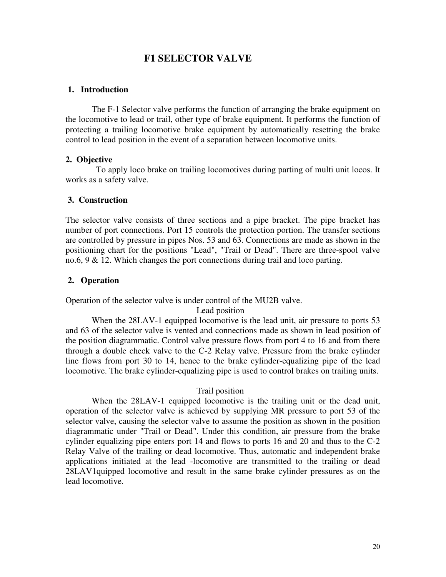## **F1 SELECTOR VALVE**

### **1. Introduction**

 The F-1 Selector valve performs the function of arranging the brake equipment on the locomotive to lead or trail, other type of brake equipment. It performs the function of protecting a trailing locomotive brake equipment by automatically resetting the brake control to lead position in the event of a separation between locomotive units.

#### **2. Objective**

 To apply loco brake on trailing locomotives during parting of multi unit locos. It works as a safety valve.

#### **3. Construction**

The selector valve consists of three sections and a pipe bracket. The pipe bracket has number of port connections. Port 15 controls the protection portion. The transfer sections are controlled by pressure in pipes Nos. 53 and 63. Connections are made as shown in the positioning chart for the positions "Lead", "Trail or Dead". There are three-spool valve no.6, 9 & 12. Which changes the port connections during trail and loco parting.

#### **2. Operation**

Operation of the selector valve is under control of the MU2B valve.

Lead position

 When the 28LAV-1 equipped locomotive is the lead unit, air pressure to ports 53 and 63 of the selector valve is vented and connections made as shown in lead position of the position diagrammatic. Control valve pressure flows from port 4 to 16 and from there through a double check valve to the C-2 Relay valve. Pressure from the brake cylinder line flows from port 30 to 14, hence to the brake cylinder-equalizing pipe of the lead locomotive. The brake cylinder-equalizing pipe is used to control brakes on trailing units.

#### Trail position

When the 28LAV-1 equipped locomotive is the trailing unit or the dead unit, operation of the selector valve is achieved by supplying MR pressure to port 53 of the selector valve, causing the selector valve to assume the position as shown in the position diagrammatic under "Trail or Dead". Under this condition, air pressure from the brake cylinder equalizing pipe enters port 14 and flows to ports 16 and 20 and thus to the C-2 Relay Valve of the trailing or dead locomotive. Thus, automatic and independent brake applications initiated at the lead -locomotive are transmitted to the trailing or dead 28LAV1quipped locomotive and result in the same brake cylinder pressures as on the lead locomotive.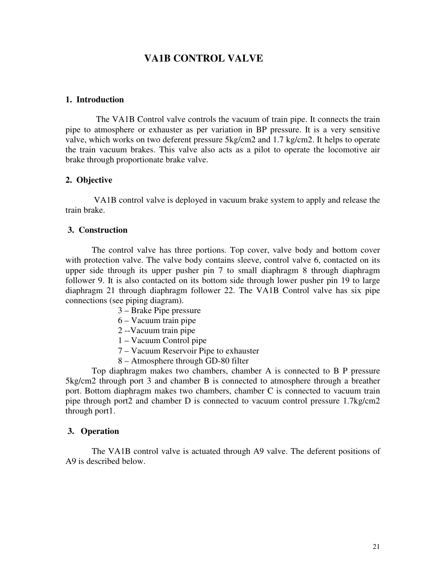## **VA1B CONTROL VALVE**

#### **1. Introduction**

 The VA1B Control valve controls the vacuum of train pipe. It connects the train pipe to atmosphere or exhauster as per variation in BP pressure. It is a very sensitive valve, which works on two deferent pressure 5kg/cm2 and 1.7 kg/cm2. It helps to operate the train vacuum brakes. This valve also acts as a pilot to operate the locomotive air brake through proportionate brake valve.

#### **2. Objective**

 VA1B control valve is deployed in vacuum brake system to apply and release the train brake.

#### **3. Construction**

 The control valve has three portions. Top cover, valve body and bottom cover with protection valve. The valve body contains sleeve, control valve 6, contacted on its upper side through its upper pusher pin 7 to small diaphragm 8 through diaphragm follower 9. It is also contacted on its bottom side through lower pusher pin 19 to large diaphragm 21 through diaphragm follower 22. The VA1B Control valve has six pipe connections (see piping diagram).

- 3 Brake Pipe pressure
- 6 Vacuum train pipe
- 2 --Vacuum train pipe
- 1 Vacuum Control pipe
- 7 Vacuum Reservoir Pipe to exhauster
- 8 Atmosphere through GD-80 filter

 Top diaphragm makes two chambers, chamber A is connected to B P pressure 5kg/cm2 through port 3 and chamber B is connected to atmosphere through a breather port. Bottom diaphragm makes two chambers, chamber C is connected to vacuum train pipe through port2 and chamber D is connected to vacuum control pressure 1.7kg/cm2 through port1.

#### **3. Operation**

 The VA1B control valve is actuated through A9 valve. The deferent positions of A9 is described below.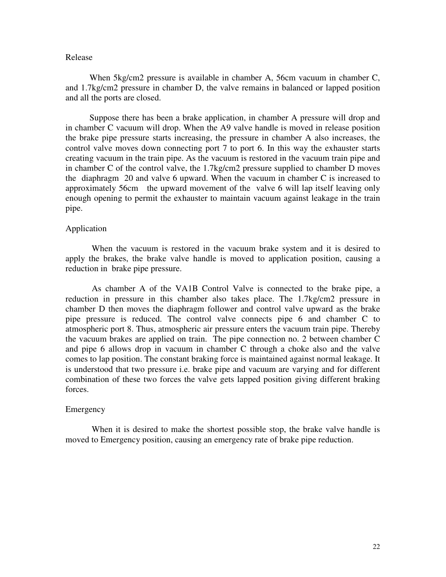#### Release

 When 5kg/cm2 pressure is available in chamber A, 56cm vacuum in chamber C, and 1.7kg/cm2 pressure in chamber D, the valve remains in balanced or lapped position and all the ports are closed.

 Suppose there has been a brake application, in chamber A pressure will drop and in chamber C vacuum will drop. When the A9 valve handle is moved in release position the brake pipe pressure starts increasing, the pressure in chamber A also increases, the control valve moves down connecting port 7 to port 6. In this way the exhauster starts creating vacuum in the train pipe. As the vacuum is restored in the vacuum train pipe and in chamber C of the control valve, the 1.7kg/cm2 pressure supplied to chamber D moves the diaphragm 20 and valve 6 upward. When the vacuum in chamber C is increased to approximately 56cm the upward movement of the valve 6 will lap itself leaving only enough opening to permit the exhauster to maintain vacuum against leakage in the train pipe.

#### Application

 When the vacuum is restored in the vacuum brake system and it is desired to apply the brakes, the brake valve handle is moved to application position, causing a reduction in brake pipe pressure.

 As chamber A of the VA1B Control Valve is connected to the brake pipe, a reduction in pressure in this chamber also takes place. The 1.7kg/cm2 pressure in chamber D then moves the diaphragm follower and control valve upward as the brake pipe pressure is reduced. The control valve connects pipe 6 and chamber C to atmospheric port 8. Thus, atmospheric air pressure enters the vacuum train pipe. Thereby the vacuum brakes are applied on train. The pipe connection no. 2 between chamber C and pipe 6 allows drop in vacuum in chamber C through a choke also and the valve comes to lap position. The constant braking force is maintained against normal leakage. It is understood that two pressure i.e. brake pipe and vacuum are varying and for different combination of these two forces the valve gets lapped position giving different braking forces.

#### **Emergency**

 When it is desired to make the shortest possible stop, the brake valve handle is moved to Emergency position, causing an emergency rate of brake pipe reduction.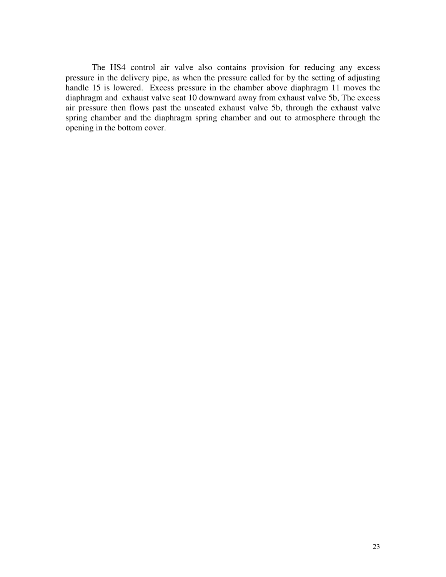The HS4 control air valve also contains provision for reducing any excess pressure in the delivery pipe, as when the pressure called for by the setting of adjusting handle 15 is lowered. Excess pressure in the chamber above diaphragm 11 moves the diaphragm and exhaust valve seat 10 downward away from exhaust valve 5b, The excess air pressure then flows past the unseated exhaust valve 5b, through the exhaust valve spring chamber and the diaphragm spring chamber and out to atmosphere through the opening in the bottom cover.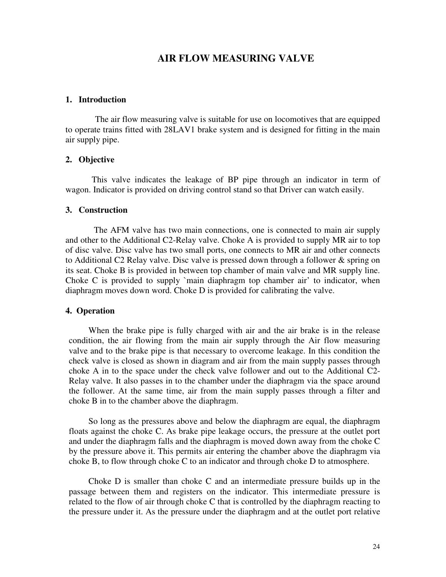## **AIR FLOW MEASURING VALVE**

#### **1. Introduction**

The air flow measuring valve is suitable for use on locomotives that are equipped to operate trains fitted with 28LAV1 brake system and is designed for fitting in the main air supply pipe.

#### **2. Objective**

 This valve indicates the leakage of BP pipe through an indicator in term of wagon. Indicator is provided on driving control stand so that Driver can watch easily.

#### **3. Construction**

 The AFM valve has two main connections, one is connected to main air supply and other to the Additional C2-Relay valve. Choke A is provided to supply MR air to top of disc valve. Disc valve has two small ports, one connects to MR air and other connects to Additional C2 Relay valve. Disc valve is pressed down through a follower & spring on its seat. Choke B is provided in between top chamber of main valve and MR supply line. Choke C is provided to supply `main diaphragm top chamber air' to indicator, when diaphragm moves down word. Choke D is provided for calibrating the valve.

#### **4. Operation**

When the brake pipe is fully charged with air and the air brake is in the release condition, the air flowing from the main air supply through the Air flow measuring valve and to the brake pipe is that necessary to overcome leakage. In this condition the check valve is closed as shown in diagram and air from the main supply passes through choke A in to the space under the check valve follower and out to the Additional C2- Relay valve. It also passes in to the chamber under the diaphragm via the space around the follower. At the same time, air from the main supply passes through a filter and choke B in to the chamber above the diaphragm.

So long as the pressures above and below the diaphragm are equal, the diaphragm floats against the choke C. As brake pipe leakage occurs, the pressure at the outlet port and under the diaphragm falls and the diaphragm is moved down away from the choke C by the pressure above it. This permits air entering the chamber above the diaphragm via choke B, to flow through choke C to an indicator and through choke D to atmosphere.

Choke D is smaller than choke C and an intermediate pressure builds up in the passage between them and registers on the indicator. This intermediate pressure is related to the flow of air through choke C that is controlled by the diaphragm reacting to the pressure under it. As the pressure under the diaphragm and at the outlet port relative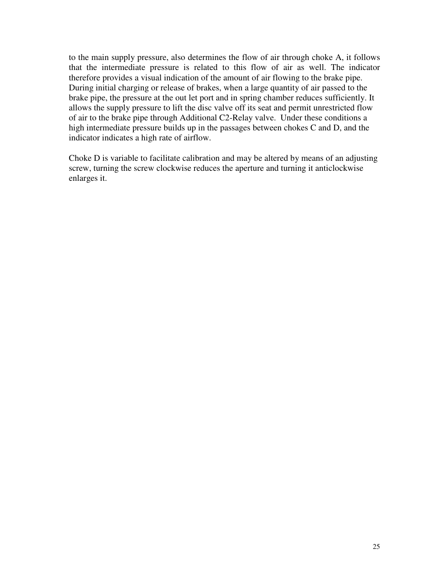to the main supply pressure, also determines the flow of air through choke A, it follows that the intermediate pressure is related to this flow of air as well. The indicator therefore provides a visual indication of the amount of air flowing to the brake pipe. During initial charging or release of brakes, when a large quantity of air passed to the brake pipe, the pressure at the out let port and in spring chamber reduces sufficiently. It allows the supply pressure to lift the disc valve off its seat and permit unrestricted flow of air to the brake pipe through Additional C2-Relay valve. Under these conditions a high intermediate pressure builds up in the passages between chokes C and D, and the indicator indicates a high rate of airflow.

Choke D is variable to facilitate calibration and may be altered by means of an adjusting screw, turning the screw clockwise reduces the aperture and turning it anticlockwise enlarges it.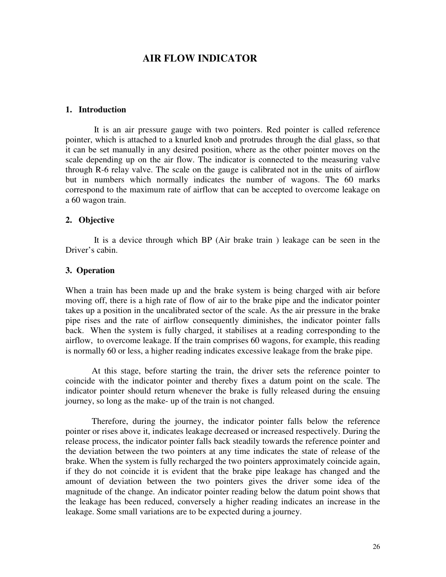## **AIR FLOW INDICATOR**

#### **1. Introduction**

 It is an air pressure gauge with two pointers. Red pointer is called reference pointer, which is attached to a knurled knob and protrudes through the dial glass, so that it can be set manually in any desired position, where as the other pointer moves on the scale depending up on the air flow. The indicator is connected to the measuring valve through R-6 relay valve. The scale on the gauge is calibrated not in the units of airflow but in numbers which normally indicates the number of wagons. The 60 marks correspond to the maximum rate of airflow that can be accepted to overcome leakage on a 60 wagon train.

#### **2. Objective**

 It is a device through which BP (Air brake train ) leakage can be seen in the Driver's cabin.

#### **3. Operation**

When a train has been made up and the brake system is being charged with air before moving off, there is a high rate of flow of air to the brake pipe and the indicator pointer takes up a position in the uncalibrated sector of the scale. As the air pressure in the brake pipe rises and the rate of airflow consequently diminishes, the indicator pointer falls back. When the system is fully charged, it stabilises at a reading corresponding to the airflow, to overcome leakage. If the train comprises 60 wagons, for example, this reading is normally 60 or less, a higher reading indicates excessive leakage from the brake pipe.

 At this stage, before starting the train, the driver sets the reference pointer to coincide with the indicator pointer and thereby fixes a datum point on the scale. The indicator pointer should return whenever the brake is fully released during the ensuing journey, so long as the make- up of the train is not changed.

 Therefore, during the journey, the indicator pointer falls below the reference pointer or rises above it, indicates leakage decreased or increased respectively. During the release process, the indicator pointer falls back steadily towards the reference pointer and the deviation between the two pointers at any time indicates the state of release of the brake. When the system is fully recharged the two pointers approximately coincide again, if they do not coincide it is evident that the brake pipe leakage has changed and the amount of deviation between the two pointers gives the driver some idea of the magnitude of the change. An indicator pointer reading below the datum point shows that the leakage has been reduced, conversely a higher reading indicates an increase in the leakage. Some small variations are to be expected during a journey.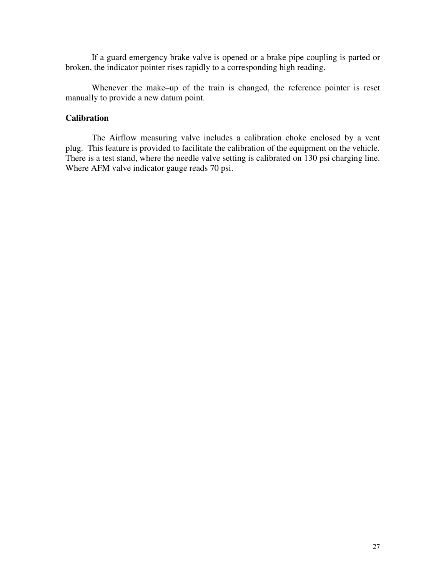If a guard emergency brake valve is opened or a brake pipe coupling is parted or broken, the indicator pointer rises rapidly to a corresponding high reading.

 Whenever the make–up of the train is changed, the reference pointer is reset manually to provide a new datum point.

## **Calibration**

 The Airflow measuring valve includes a calibration choke enclosed by a vent plug. This feature is provided to facilitate the calibration of the equipment on the vehicle. There is a test stand, where the needle valve setting is calibrated on 130 psi charging line. Where AFM valve indicator gauge reads 70 psi.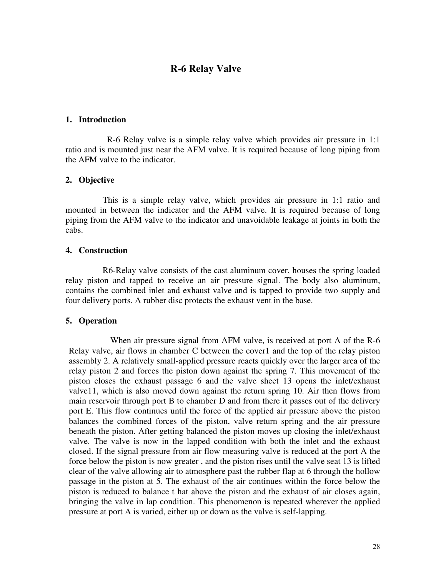## **R-6 Relay Valve**

#### **1. Introduction**

 R-6 Relay valve is a simple relay valve which provides air pressure in 1:1 ratio and is mounted just near the AFM valve. It is required because of long piping from the AFM valve to the indicator.

#### **2. Objective**

 This is a simple relay valve, which provides air pressure in 1:1 ratio and mounted in between the indicator and the AFM valve. It is required because of long piping from the AFM valve to the indicator and unavoidable leakage at joints in both the cabs.

#### **4. Construction**

 R6-Relay valve consists of the cast aluminum cover, houses the spring loaded relay piston and tapped to receive an air pressure signal. The body also aluminum, contains the combined inlet and exhaust valve and is tapped to provide two supply and four delivery ports. A rubber disc protects the exhaust vent in the base.

#### **5. Operation**

 When air pressure signal from AFM valve, is received at port A of the R-6 Relay valve, air flows in chamber C between the cover1 and the top of the relay piston assembly 2. A relatively small-applied pressure reacts quickly over the larger area of the relay piston 2 and forces the piston down against the spring 7. This movement of the piston closes the exhaust passage 6 and the valve sheet 13 opens the inlet/exhaust valve11, which is also moved down against the return spring 10. Air then flows from main reservoir through port B to chamber D and from there it passes out of the delivery port E. This flow continues until the force of the applied air pressure above the piston balances the combined forces of the piston, valve return spring and the air pressure beneath the piston. After getting balanced the piston moves up closing the inlet/exhaust valve. The valve is now in the lapped condition with both the inlet and the exhaust closed. If the signal pressure from air flow measuring valve is reduced at the port A the force below the piston is now greater , and the piston rises until the valve seat 13 is lifted clear of the valve allowing air to atmosphere past the rubber flap at 6 through the hollow passage in the piston at 5. The exhaust of the air continues within the force below the piston is reduced to balance t hat above the piston and the exhaust of air closes again, bringing the valve in lap condition. This phenomenon is repeated wherever the applied pressure at port A is varied, either up or down as the valve is self-lapping.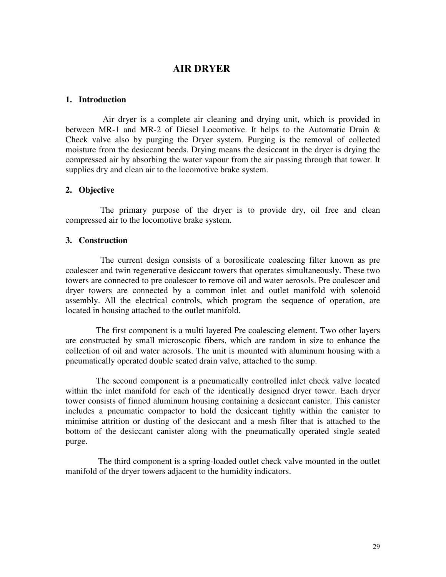## **AIR DRYER**

#### **1. Introduction**

 Air dryer is a complete air cleaning and drying unit, which is provided in between MR-1 and MR-2 of Diesel Locomotive. It helps to the Automatic Drain & Check valve also by purging the Dryer system. Purging is the removal of collected moisture from the desiccant beeds. Drying means the desiccant in the dryer is drying the compressed air by absorbing the water vapour from the air passing through that tower. It supplies dry and clean air to the locomotive brake system.

#### **2. Objective**

 The primary purpose of the dryer is to provide dry, oil free and clean compressed air to the locomotive brake system.

### **3. Construction**

 The current design consists of a borosilicate coalescing filter known as pre coalescer and twin regenerative desiccant towers that operates simultaneously. These two towers are connected to pre coalescer to remove oil and water aerosols. Pre coalescer and dryer towers are connected by a common inlet and outlet manifold with solenoid assembly. All the electrical controls, which program the sequence of operation, are located in housing attached to the outlet manifold.

 The first component is a multi layered Pre coalescing element. Two other layers are constructed by small microscopic fibers, which are random in size to enhance the collection of oil and water aerosols. The unit is mounted with aluminum housing with a pneumatically operated double seated drain valve, attached to the sump.

 The second component is a pneumatically controlled inlet check valve located within the inlet manifold for each of the identically designed dryer tower. Each dryer tower consists of finned aluminum housing containing a desiccant canister. This canister includes a pneumatic compactor to hold the desiccant tightly within the canister to minimise attrition or dusting of the desiccant and a mesh filter that is attached to the bottom of the desiccant canister along with the pneumatically operated single seated purge.

 The third component is a spring-loaded outlet check valve mounted in the outlet manifold of the dryer towers adjacent to the humidity indicators.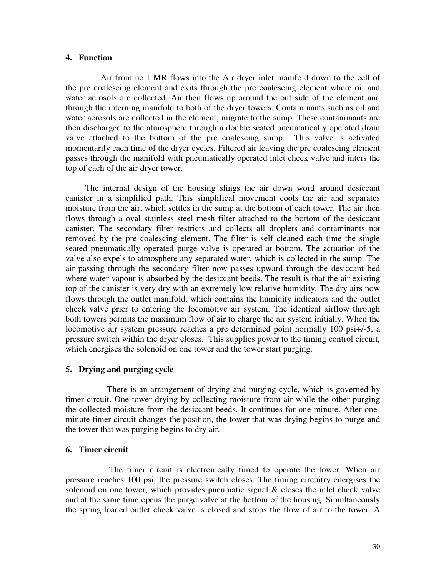#### **4. Function**

 Air from no.1 MR flows into the Air dryer inlet manifold down to the cell of the pre coalescing element and exits through the pre coalescing element where oil and water aerosols are collected. Air then flows up around the out side of the element and through the interning manifold to both of the dryer towers. Contaminants such as oil and water aerosols are collected in the element, migrate to the sump. These contaminants are then discharged to the atmosphere through a double seated pneumatically operated drain valve attached to the bottom of the pre coalescing sump. This valve is activated momentarily each time of the dryer cycles. Filtered air leaving the pre coalescing element passes through the manifold with pneumatically operated inlet check valve and inters the top of each of the air dryer tower.

 The internal design of the housing slings the air down word around desiccant canister in a simplified path. This simplifical movement cools the air and separates moisture from the air, which settles in the sump at the bottom of each tower. The air then flows through a oval stainless steel mesh filter attached to the bottom of the desiccant canister. The secondary filter restricts and collects all droplets and contaminants not removed by the pre coalescing element. The filter is self cleaned each time the single seated pneumatically operated purge valve is operated at bottom. The actuation of the valve also expels to atmosphere any separated water, which is collected in the sump. The air passing through the secondary filter now passes upward through the desiccant bed where water vapour is absorbed by the desiccant beeds. The result is that the air existing top of the canister is very dry with an extremely low relative humidity. The dry airs now flows through the outlet manifold, which contains the humidity indicators and the outlet check valve prier to entering the locomotive air system. The identical airflow through both towers permits the maximum flow of air to charge the air system initially. When the locomotive air system pressure reaches a pre determined point normally 100 psi+/-5, a pressure switch within the dryer closes. This supplies power to the timing control circuit, which energises the solenoid on one tower and the tower start purging.

### **5. Drying and purging cycle**

 There is an arrangement of drying and purging cycle, which is governed by timer circuit. One tower drying by collecting moisture from air while the other purging the collected moisture from the desiccant beeds. It continues for one minute. After oneminute timer circuit changes the position, the tower that was drying begins to purge and the tower that was purging begins to dry air.

#### **6. Timer circuit**

 The timer circuit is electronically timed to operate the tower. When air pressure reaches 100 psi, the pressure switch closes. The timing circuitry energises the solenoid on one tower, which provides pneumatic signal  $\&$  closes the inlet check valve and at the same time opens the purge valve at the bottom of the housing. Simultaneously the spring loaded outlet check valve is closed and stops the flow of air to the tower. A